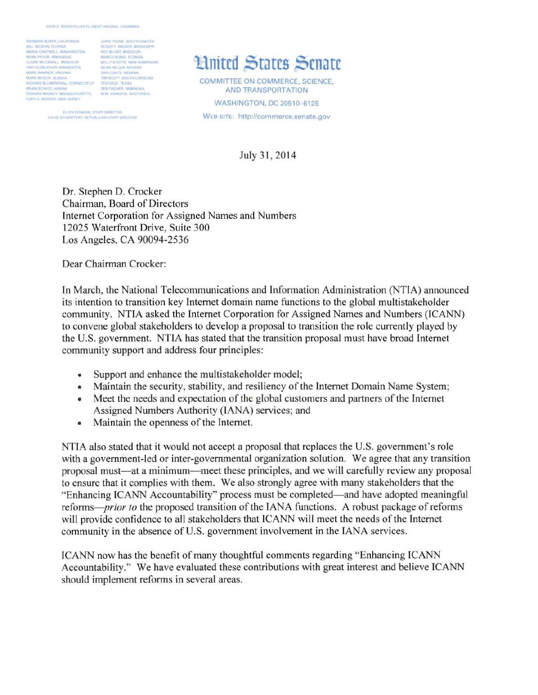$\begin{tabular}{l|c|c|c|c} \hline \texttt{RAMMAA RDKER}, CAJFGRRSA & \texttt{JGRT FHORE}, SOCITH DAGGTA \\ \hline \texttt{BAI}, MELSOR, P_LDRRA & \texttt{ROGER} & \texttt{MOGER} & \texttt{MOGCE} \\ \hline \texttt{MARAG}, COXVMLI, WABIMHITIDA & \texttt{POGER}, NMDRA \\ \texttt{MAAR}, POVOR, AIRAORLA, MSEIGI, MA & \texttt{MAHCH}, NCEI, VAPGTTE, NENY HABIHA \\ \texttt{MAH}, WPLI, VABI, MSEIGI, MSEIG$ NICHARD BLUMENTHAL CONNECTICUT TED CRUZ, TEXAS **BROOK STRACTS MANUAL** CORY A ROOKER NEW JERSEY

ELLEN DONCBRI, STAFF DIRECTOR<br>GAVID SCHWIETERT, REPUBLICAN STAFF DIRECTOR

## **Llnited States Senate**

COMMITTEE ON COMMERCE, SCIENCE, AND TRANSPORTATION **WASHINGTON, DC 20510-6125** WEB SITE: http://commerce.senate.gov

July 31, 2014

Dr. Stephen D. Crocker Chairman, Board of Directors Internet Corporation for Assigned Names and Numbers 12025 Waterfront Drive, Suite 300 Los Angeles, CA 90094-2536

Dear Chairman Crocker:

In March, the National Telecommunications and Information Administration (NTIA) announced its intention to transition key Internet domain name functions to the global multistakeholder community. NTIA asked the Internet Corporation for Assigned Names and Numbers (ICANN) to convene global stakeholders to develop a proposal to transition the role currently played by the U.S. government. NTIA has stated that the transition proposal must have broad Internet community support and address four principles:

- Support and enhance the multistakeholder model;
- Maintain the security, stability, and resiliency of the Internet Domain Name System;
- Meet the needs and expectation of the global customers and partners of the Internet Assigned Numbers Authority (lANA) services; and
- Maintain the openness of the Internet.

NTIA also stated that it would not accept a proposal that replaces the U.S. government's role with a government-led or inter-governmental organization solution. We agree that any transition proposal must-at a minimum-meet these principles, and we will carefully review any proposal to ensure that it complies with them. We also strongly agree with many stakeholders that the "Enhancing ICANN Accountability" process must be completed- and have adopted meaningful reforms- *prior to* the proposed transition of the IANA functions. A robust package of reforms will provide confidence to all stakeholders that ICANN will meet the needs of the Internet community in the absence of U.S. government involvement in the lANA services.

ICANN now has the benefit of many thoughtful comments regarding "Enhancing ICANN Accountability." We have evaluated these contributions with great interest and believe ICANN should implement reforms in several areas.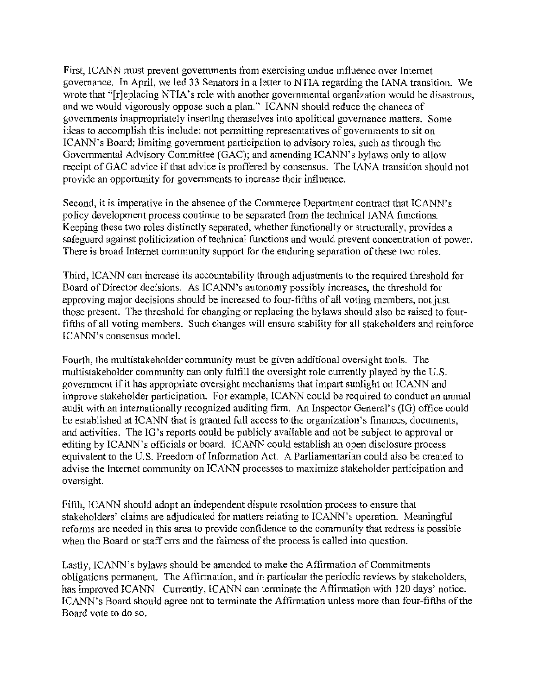First, ICANN must prevent governments from exercising undue influence over Internet governance. In April, we led 33 Senators in a letter to NTIA regarding the lANA transition. We wrote that "[r]eplacing NTIA's role with another governmental organization would be disastrous, and we would vigorously oppose such a plan." ICANN should reduce the chances of governments inappropriately inserting themselves into apolitical governance matters. Some ideas to accomplish this include: not pennitting representatives of governments to sit on ICANN's Board; limiting govemment participation to advisory roles, such as through the Govemmental Advisory Committee (GAC); and amending ICANN's bylaws only to allow receipt of GAC advice if that advice is proffered by consensus. The IANA transition should not provide an opportunity for governments to increase their influence.

Second, it is imperative in the absence of the Commerce Department contract that ICANN's policy development process continue to be separated from the technical lANA functions. Keeping these two roles distinctly separated, whether functionally or structurally, provides a safeguard against politicization of technical functions and would prevent concentration of power. There is broad Internet community support for the enduring separation of these two roles.

Third, ICANN can increase its accountability through adjustments to the required threshold for Board of Director decisions. As ICANN's autonomy possibly increases, the threshold for approving major decisions should be increased to four-fifths of all voting members, not just those present. The threshold for changing or replacing the bylaws should also be raised to fourfifths of all voting members. Such changes will ensure stability for all stakeholders and reinforce TCANN's consensus modeL

Fourth, the multistakeholder community must be given additional oversight tools. The multistakeholder community can only fulfill the oversight role currently played by the U.S. government if it has appropriate oversight mechanisms that impart sunlight on ICANN and improve stakeholder participation. For example, ICANN could be required to conduct an annual audit with an internationally recognized auditing finn. An Inspector General's (IG) office could be established at ICANN that is granted full access to the organization's finances, documents, and activities. The IG 's reports could be publicly available and not be subject to approval or editing by TCANN's officials or board. ICANN could establish an open disclosure process equivalent to the U.S. Freedom of Information Act. A Parliamentarian could also be created to advise the Internet community on ICANN processes to maximize stakeholder participation and oversight.

Fifth, ICANN should adopt an independent dispute resolution process to ensure that stakeholders' claims are adjudicated for matters relating to ICANN's operation. Meaningful reforms are needed in this area to provide confidence to the community that redress is possible when the Board or staff errs and the fairness of the process is called into question.

Lastly, ICANN's bylaws should be amended to make the Affirmation of Commitments obligations pennanent. The Affirmation, and in particular the periodic reviews by stakeholders, has improved ICANN. Currently, ICANN can terminate the Affirmation with 120 days' notice. ICANN's Board should agree not to terminate the Affirmation unless more than four-fifths of the Board vote to do so.